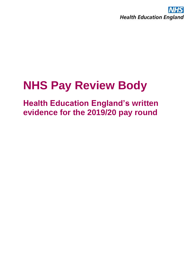

## **NHS Pay Review Body**

## **Health Education England's written evidence for the 2019/20 pay round**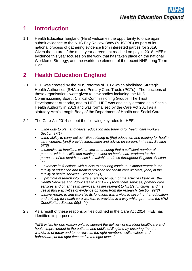## **1 Introduction**

1.1 Health Education England (HEE) welcomes the opportunity to once again submit evidence to the NHS Pay Review Body (NHSPRB) as part of its national process of gathering evidence from interested parties for 2019. Given the nature of the multi-year agreement reached on pay in 2018, HEE's evidence this year focuses on the work that has taken place on the national Workforce Strategy, and the workforce element of the recent NHS Long Term Plan.

## **2 Health Education England**

- 2.1 HEE was created by the NHS reforms of 2012 which abolished Strategic Health Authorities (SHAs) and Primary Care Trusts (PCTs). The functions of these organisations were given to new bodies including the NHS Commissioning Board, Clinical Commissioning Groups, The Trust Development Authority, and to HEE. HEE was originally created as a Special Health Authority in 2013 and was formalised by the Care Act 2014 as a statutory Arm's Length Body of the Department of Health and Social Care.
- 2.2 The Care Act 2014 set out the following key roles for HEE:
	- *…the duty to plan and deliver education and training for health care workers. Section 97(1)*
	- *…the ability to carry out activities relating to [the] education and training for health care workers; [and] provide information and advice on careers in health. Section 97(6)*
	- *…exercise its functions with a view to ensuring that a sufficient number of persons with the skills and training to work as health care workers for the purposes of the health service is available to do so throughout England. Section 98*
	- *...exercise its functions with a view to securing continuous improvement in the quality of education and training provided for health care workers; [and] in the quality of health services. Section 99(1)*
	- *…promote research into matters relating to such of the activities listed in...the Health Services and Public Health Act 1968 (social care services, primary care services and other health services) as are relevant to HEE's functions, and the use in those activities of evidence obtained from the research. Section 99(2)*
	- *…have regard to and exercise its functions with a view to securing that education and training for health care workers is provided in a way which promotes the NHS Constitution. Section 99(3) (4)*
- 2.3 As a result of these responsibilities outlined in the Care Act 2014, HEE has identified its purpose as:

*'HEE exists for one reason only: to support the delivery of excellent healthcare and health improvement to the patients and public of England by ensuring that the workforce of today and tomorrow has the right numbers, skills, values and behaviours, at the right time and in the right place.'*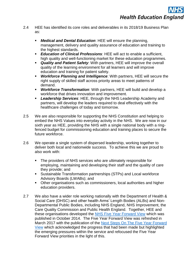- 2.4 HEE has identified its core roles and deliverables in its 2018/19 Business Plan as:
	- *Medical and Dental Education*: HEE will ensure the planning, management, delivery and quality assurance of education and training to the highest standards.
	- *Education of Clinical Professions: HEE will act to enable a sufficient,* high quality and well-functioning market for these education programmes.
	- **Quality and Patient Safety:** With partners, HEE will improve the overall quality of the learning environment for all learners and will improve education and training for patient safety.
	- **Workforce Planning and Intelligence:** With partners, HEE will secure the right supply of skilled staff across priority areas to meet patterns of demand.
	- *Workforce Transformation*: With partners, HEE will build and develop a workforce that drives innovation and improvement.
	- Leadership Services: HEE, through the NHS Leadership Academy and partners, will develop the leaders required to deal effectively with the healthcare challenges of today and tomorrow.
- 2.5 We are also responsible for supporting the NHS Constitution and helping to embed the NHS Values into everyday activity in the NHS. We are now in our sixth year as HEE, providing the NHS with a single national body with a ringfenced budget for commissioning education and training places to secure the future workforce.
- 2.6 We operate a single system of dispersed leadership, working together to deliver both local and nationwide success. To achieve this we are proud to also work with:
	- The providers of NHS services who are ultimately responsible for employing, maintaining and developing their staff and the quality of care they provide; and
	- Sustainable Transformation partnerships (STPs) and Local workforce Advisory Boards (LWABs); and
	- Other organisations such as commissioners, local authorities and higher education providers.
- 2.7 We also have a wider role working nationally with the Department of Health & Social Care (DHSC) and other health Arms' Length Bodies (ALBs) and Non-Departmental Public Bodies, including NHS England, NHS Improvement, the Care Quality Commission and Public Health England. Together, HEE and these organisations developed the [NHS Five Year Forward View](https://www.england.nhs.uk/wp-content/uploads/2014/10/5yfv-web.pdf) which was published in October 2014. The Five Year Forward View was refreshed in March 2017 with the publication of the [Next Steps On The Five Year Forward](https://www.england.nhs.uk/wp-content/uploads/2017/03/NEXT-STEPS-ON-THE-NHS-FIVE-YEAR-FORWARD-VIEW.pdf)  [View](https://www.england.nhs.uk/wp-content/uploads/2017/03/NEXT-STEPS-ON-THE-NHS-FIVE-YEAR-FORWARD-VIEW.pdf) which acknowledged the progress that had been made but highlighted the emerging pressures within the service and refocused the Five Year Forward View priorities in the light of this.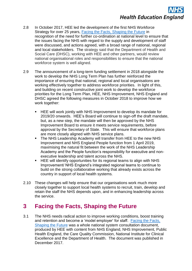# **Health Education England**

- 2.8 In October 2017, HEE led the development of the first NHS Workforce Strategy for over 25 years, [Facing the Facts, Shaping the Future](https://www.hee.nhs.uk/sites/default/files/documents/Facing%20the%20Facts%2C%20Shaping%20the%20Future%20%E2%80%93%20a%20draft%20health%20and%20care%20workforce%20strategy%20for%20England%20to%202027.pdf) in recognition of the need for further co-ordination at national level to ensure that the issues facing the NHS with regard to the supply and development of staff were discussed, and actions agreed, with a broad range of national, regional and local stakeholders. The strategy said that the Department of Health and Social Care (DHSC), working with HEE and other partners, would review national organisational roles and responsibilities to ensure that the national workforce system is well aligned.
- 2.9 The announcement of a long-term funding settlement in 2018 alongside the work to develop the NHS Long Term Plan has further reinforced the importance of ensuring that national, regional and local organisations are working effectively together to address workforce priorities. In light of this, and building on recent constructive joint work to develop the workforce priorities for the Long Term Plan, HEE, NHS Improvement, NHS England and DHSC agreed the following measures in October 2018 to improve how we work together:
	- HEE will work jointly with NHS Improvement to develop its mandate for 2019/20 onwards. HEE's Board will continue to sign-off the draft mandate, but, as a new step, the mandate will then be approved by the NHS Improvement Board to ensure it meets service requirements, before approval by the Secretary of State. This will ensure that workforce plans are more closely aligned with NHS service plans.
	- The NHS Leadership Academy will transfer from HEE to the new NHS Improvement and NHS England People function from 1 April 2019, maximising the natural fit between the work of the NHS Leadership Academy and the People function's responsibility for executive and nonexecutive leadership and talent across the NHS.
	- HEE will identify opportunities for its regional teams to align with NHS Improvement/ NHS England's integrated regional teams to continue to build on the strong collaborative working that already exists across the country in support of local health systems.
- 2.10 These changes will help ensure that our organisations work much more closely together to support local health systems to recruit, train, develop and retain the staff the NHS depends upon, and in enhancing leadership across the service.

## **3 Facing the Facts, Shaping the Future**

3.1 The NHS needs radical action to improve working conditions, boost training and retention and become a 'model employer' for staff. [Facing the Facts,](https://www.hee.nhs.uk/sites/default/files/documents/Facing%20the%20Facts%2C%20Shaping%20the%20Future%20%E2%80%93%20a%20draft%20health%20and%20care%20workforce%20strategy%20for%20England%20to%202027.pdf)  [Shaping the Future](https://www.hee.nhs.uk/sites/default/files/documents/Facing%20the%20Facts%2C%20Shaping%20the%20Future%20%E2%80%93%20a%20draft%20health%20and%20care%20workforce%20strategy%20for%20England%20to%202027.pdf) was a whole national system consultation document, produced by HEE with content from NHS England, NHS Improvement, Public Health England, the Care Quality Commission, National Institute for Clinical Excellence and the Department of Health. The document was published in December 2017.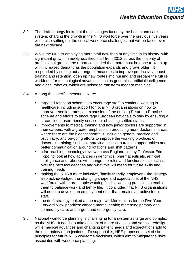- 3.2 The draft strategy looked at the challenges faced by the health and care system, charting the growth in the NHS workforce over the previous five years while also setting out the critical workforce challenges that will be faced over the next decade.
- 3.3 While the NHS is employing more staff now than at any time in its history, with significant growth in newly-qualified staff from 2012 across the majority of professional groups, the report concluded that more must be done to keep up with increased demand as the population expands and grows older. It responded by setting out a range of measures to improve productivity, boost training and retention, open up new routes into nursing and prepare the future workforce for technological advances such as genomics, artificial intelligence and digital robotics, which are poised to transform modern medicine.
- 3.4 Among the specific measures were:
	- targeted retention schemes to encourage staff to continue working in healthcare, including support for local NHS organisations on how to improve retention rates, an expansion of the nursing Return to Practice scheme and efforts to encourage European nationals to stay by ensuring a streamlined, user-friendly service for obtaining settled status
	- improvements to medical training and how junior doctors are supported in their careers, with a greater emphasis on producing more doctors in areas where there are the biggest shortfalls, including general practice and psychiatry, and on-going efforts to improve the working practices of doctors in training, such as improving access to training opportunities and better communication around rotations and shift patterns
	- a far-reaching technology review across England, led by Professor Eric Topol to look at how advances in genomics, pharmaceuticals, artificial intelligence and robotics will change the roles and functions of clinical staff over the next two decades and what this will mean for future skills and training needs
	- making the NHS a more inclusive, 'family-friendly' employer  $-$  the strategy also acknowledged the changing shape and expectations of the NHS workforce, with more people wanting flexible working practices to enable them to balance work and family life. It concluded that NHS organisations will need to develop an employment offer that remains attractive for all staff.
	- the draft strategy looked at the major workforce plans for the Five Year Forward View priorities: cancer; mental health; maternity; primary and community care; and urgent and emergency care.
- 3.5 National workforce planning is challenging for a system as large and complex as the NHS. It needs to take account of future finances and service redesign, while medical advances and changing patient needs and expectations add to the uncertainty of projections. To support this, HEE proposed a set of six principles for future NHS workforce decisions, which aim to mitigate the risks associated with workforce planning.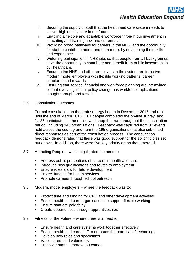**Health Education England** 

- i. Securing the supply of staff that the health and care system needs to deliver high quality care in the future.
- ii. Enabling a flexible and adaptable workforce through our investment in educating and training new and current staff.
- iii. Providing broad pathways for careers in the NHS, and the opportunity for staff to contribute more, and earn more, by developing their skills and experience.
- iv. Widening participation in NHS jobs so that people from all backgrounds have the opportunity to contribute and benefit from public investment in our healthcare.
- v. Ensuring the NHS and other employers in the system are inclusive modern model employers with flexible working patterns, career structures and rewards.
- vi. Ensuring that service, financial and workforce planning are intertwined, so that every significant policy change has workforce implications thought through and tested.
- 3.6 Consultation outcomes

Formal consultation on the draft strategy began in December 2017 and ran until the end of March 2018. 101 people completed the on-line survey, and 1,185 participated in the online workshop that ran throughout the consultation period, including 143 organisations. Feedback was captured from 32 events held across the country and from the 195 organisations that also submitted direct responses as part of the consultation process. The consultation feedback demonstrated that there was good support for the six principles set out above. In addition, there were five key priority areas that emerged:

- 3.7 Attracting People which highlighted the need to;
	- Address public perceptions of careers in health and care
	- Introduce new qualifications and routes to employment
	- Ensure roles allow for future development
	- Protect funding for health services
	- Promote careers through school outreach
- 3.8 Modern, model employers where the feedback was to;
	- Protect time and funding for CPD and other development activities
	- Enable health and care organisations to support flexible working
	- Ensure staff are paid fairly
	- Create opportunities through apprenticeships
- 3.9 Fitness for the Future where there is a need to;
	- Ensure health and care systems work together effectively
	- Enable health and care staff to embrace the potential of technology
	- Develop new roles and specialities
	- Value carers and volunteers
	- Empower staff to improve outcomes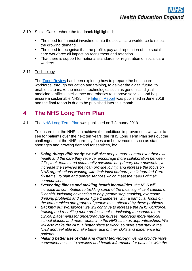- 3.10 Social Care where the feedback highlighted;
	- The need for financial investment into the social care workforce to reflect the growing demand
	- The need to recognise that the profile, pay and reputation of the social care workforce all impact on recruitment and retention
	- That there is support for national standards for registration of social care workers.

#### 3.11 Technology

The [Topol Review](https://www.hee.nhs.uk/our-work/topol-review) has been exploring how to prepare the healthcare workforce, through education and training, to deliver the digital future, to enable us to make the most of technologies such as genomics, digital medicine, artificial intelligence and robotics to improve services and help ensure a sustainable NHS. The [Interim Report](https://www.hee.nhs.uk/sites/default/files/documents/Topol%20Review%20interim%20report_0.pdf) was published in June 2018 and the final report is due to be published later this month.

### **4 The NHS Long Term Plan**

4.1 The [NHS Long Term Plan](https://www.longtermplan.nhs.uk/wp-content/uploads/2019/01/nhs-long-term-plan.pdf) was published on 7 January 2019.

To ensure that the NHS can achieve the ambitious improvements we want to see for patients over the next ten years, the NHS Long Term Plan sets out the challenges that the NHS currently faces can be overcome, such as staff shortages and growing demand for services, by:

- **Doing things differently**: we will give people more control over their own *health and the care they receive, encourage more collaboration between GPs, their teams and community services, as 'primary care networks', to increase the services they can provide jointly, and increase the focus on NHS organisations working with their local partners, as 'Integrated Care Systems', to plan and deliver services which meet the needs of their communities.*
- *Preventing illness and tackling health inequalities: the NHS will increase its contribution to tackling some of the most significant causes of ill health, including new action to help people stop smoking, overcome drinking problems and avoid Type 2 diabetes, with a particular focus on the communities and groups of people most affected by these problems.*
- **Backing our workforce**: we will continue to increase the NHS workforce, *training and recruiting more professionals – including thousands more clinical placements for undergraduate nurses, hundreds more medical school places, and more routes into the NHS such as apprenticeships. We will also make the NHS a better place to work, so more staff stay in the NHS and feel able to make better use of their skills and experience for patients.*
- *Making better use of data and digital technology: we will provide more convenient access to services and health information for patients, with the*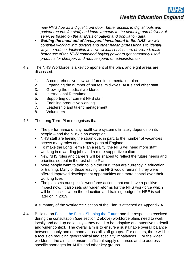

*new NHS App as a digital 'front door', better access to digital tools and patient records for staff, and improvements to the planning and delivery of services based on the analysis of patient and population data.*

- *Getting the most out of taxpayers' investment in the NHS: we will continue working with doctors and other health professionals to identify ways to reduce duplication in how clinical services are delivered, make better use of the NHS' combined buying power to get commonly used products for cheaper, and reduce spend on administration*
- 4.2 The NHS Workforce is a key component of the plan, and eight areas are discussed:
	- 1. A comprehensive new workforce implementation plan
	- 2. Expanding the number of nurses, midwives, AHPs and other staff
	- 3. Growing the medical workforce
	- 4. International Recruitment
	- 5. Supporting our current NHS staff
	- 6. Enabling productive working
	- 7. Leadership and talent management
	- 8. Volunteers
- 4.3 The Long Term Plan recognises that:
	- The performance of any healthcare system ultimately depends on its people – and the NHS is no exception
	- NHS staff are feeling the strain due, in part, to the number of vacancies across many roles and in many parts of England
	- To make the Long Term Plan a reality, the NHS will need more staff, working in rewarding jobs and a more supportive culture
	- New NHS roles and careers will be shaped to reflect the future needs and priorities set out in the rest of the Plan
	- More people want to train to join the NHS than are currently in education or training. Many of those leaving the NHS would remain if they were offered improved development opportunities and more control over their working lives
	- The plan sets out specific workforce actions that can have a positive impact now. It also sets out wider reforms for the NHS workforce which will be finalised when the education and training budget for HEE is set later on in 2019.

A summary of the Workforce Section of the Plan is attached as Appendix A.

4.4 Building on [Facing the Facts, Shaping the Future](https://www.hee.nhs.uk/sites/default/files/documents/Facing%20the%20Facts%2C%20Shaping%20the%20Future%20%E2%80%93%20a%20draft%20health%20and%20care%20workforce%20strategy%20for%20England%20to%202027.pdf) and the responses received during the consultation (see section 2 above) workforce plans need to work locally and add up nationally – they need to be adaptive and attentive to detail and wider context. The overall aim is to ensure a sustainable overall balance between supply and demand across all staff groups. For doctors, there will be a focus on reducing geographical and specialty imbalances. For the wider workforce, the aim is to ensure sufficient supply of nurses and to address specific shortages for AHPs and other key groups.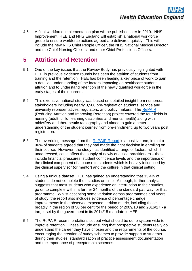4.5 A final workforce implementation plan will be published later in 2019. NHS Improvement, HEE and NHS England will establish a national workforce group to ensure workforce actions agreed are delivered quickly. This will include the new NHS Chief People Officer, the NHS National Medical Director and the Chief Nursing Officers, and other Chief Professions Officers.

### **5 Attrition and Retention**

- 5.1 One of the key issues that the Review Body has previously highlighted with HEE in previous evidence rounds has been the attrition of students from training and the retention. HEE has been leading a key piece of work to gain a detailed understanding of the factors impacting on healthcare student attrition and to understand retention of the newly qualified workforce in the early stages of their careers.
- 5.2 This extensive national study was based on detailed insight from numerous stakeholders including nearly 3,500 pre-registration students, service and university representatives, regulators, and policy makers. The [RePAIR](https://www.hee.nhs.uk/news-blogs-events/news/health-education-england-gains-valuable-insight-improving-student-retention) (Reducing Attrition and Improving Retention) project covered the four fields in nursing (adult, child, learning disabilities and mental health) along with midwifery and therapeutic radiography and aimed to gain a better understanding of the student journey from pre-enrolment, up to two years post registration.
- 5.3 The overriding message from the [RePAIR Report](https://healtheducationengland.sharepoint.com/Comms/Digital/Shared%20Documents/Forms/AllItems.aspx?id=%2FComms%2FDigital%2FShared%20Documents%2Fhee%2Enhs%2Euk%20documents%2FWebsite%20files%2FRePAIR%202018%2FRePAIR%20Report%202018_FINAL%2Epdf&parent=%2FComms%2FDigital%2FShared%20Documents%2Fhee%2Enhs%2Euk%20documents%2FWebsite%20files%2FRePAIR%202018&p=true&slrid=96dbb69e-0047-0000-5832-d4a6ee14d4a9) is a positive one, in that a 96% of students agreed that they had made the right decision in enrolling on their course. However, the study has identified a range of factors, which if unaddressed, could affect the supply of newly qualified practitioners – these include financial pressures, student confidence levels and the importance of the clinical component of a course to students which is heavily influenced by the clinical supervisor (or mentor) and the culture in that clinical setting.
- 5.4 Using a unique dataset, HEE has gained an understanding that 33.4% of students do not complete their studies on time. Although, further analysis suggests that most students who experience an interruption to their studies, go on to complete within a further 24 months of the standard pathway for that programme. Whilst accepting some variation across programmes and years of study, the report also includes evidence of percentage change improvements in the observed expected attrition metric, including those broadly in the region of 50 per cent for the period of 2009/10 and 2016/17 - a target set by the government in its 2014/15 mandate to HEE.
- 5.5 The RePAIR recommendations set out what should be done system wide to improve retention. These include ensuring that prospective students really do understand the career they have chosen and the requirements of the course, encouraging the creation of buddy schemes to provide support to students during their studies, standardisation of practice assessment documentation and the importance of preceptorship schemes.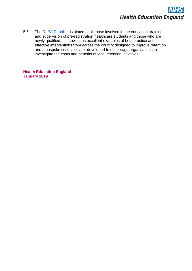

5.6 The [RePAIR toolkit,](https://healtheducationengland.sharepoint.com/Comms/Digital/Shared%20Documents/Forms/AllItems.aspx?id=%2FComms%2FDigital%2FShared%20Documents%2Fhee%2Enhs%2Euk%20documents%2FWebsite%20files%2FRePAIR%202018%2FRP_Toolkit_2017-2018_FINAL%2Epdf&parent=%2FComms%2FDigital%2FShared%20Documents%2Fhee%2Enhs%2Euk%20documents%2FWebsite%20files%2FRePAIR%202018&p=true&slrid=a0dbb69e-f00f-0000-42d4-bac4c863bd11) is aimed at all those involved in the education, training and supervision of pre-registration healthcare students and those who are newly qualified. It showcases excellent examples of best practice and effective interventions from across the country designed to improve retention and a bespoke cost calculator developed to encourage organisations to investigate the costs and benefits of local retention initiatives.

**Health Education England January 2019**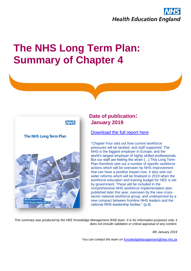

## **The NHS Long Term Plan: Summary of Chapter 4**



#### **Date of publication: January 2019**

[Download the full report here](https://www.longtermplan.nhs.uk/wp-content/uploads/2019/01/nhs-long-term-plan.pdf)

"Chapter Four sets out how current workforce pressures will be tackled, and staff supported. The NHS is the biggest employer in Europe, and the world's largest employer of highly skilled professionals. But our staff are feeling the strain […] This Long Term Plan therefore sets out a number of specific workforce actions which will be overseen by NHS Improvement that can have a positive impact now. It also sets out wider reforms which will be finalised in 2019 when the workforce education and training budget for HEE is set by government. These will be included in the comprehensive NHS workforce implementation plan published later this year, overseen by the new crosssector national workforce group, and underpinned by a new compact between frontline NHS leaders and the national NHS leadership bodies." (p.8)

This summary was produced by the HEE Knowledge Management (KM) team. It is for information purposes only; it *does not include validation or critical appraisal of any content.*

*8th January 2019* 

*You can contact the team on* [KnowledgeManagement@hee.nhs.uk](mailto:knowledgemanagement@hee.nhs.uk)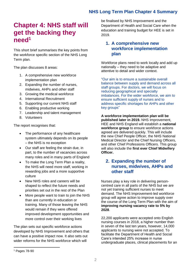#### **NHS Long Term Plan Chapter 4 Summary**

## **Chapter 4: NHS staff will get the backing they need<sup>1</sup>**

This short brief summarises the key points from the workforce specific section of the NHS Long Term plan.

The plan discusses 8 areas:

- 1. A comprehensive new workforce implementation plan
- 2. Expanding the number of nurses, midwives, AHPs and other staff
- 3. Growing the medical workforce
- 4. International Recruitment
- 5. Supporting our current NHS staff
- 6. Enabling productive working
- 7. Leadership and talent management
- 8. Volunteers

The report recognises that:

- The performance of any healthcare system ultimately depends on its people – the NHS is no exception
- Our staff are feeling the strain due, in part, to the number of vacancies across many roles and in many parts of England
- To make the Long Term Plan a reality, the NHS will need more staff, working in rewarding jobs and a more supportive culture
- New NHS roles and careers will be shaped to reflect the future needs and priorities set out in the rest of the Plan
- More people want to train to join the NHS than are currently in education or training. Many of those leaving the NHS would remain if they were offered improved development opportunities and more control over their working lives

The plan sets out specific workforce actions developed by NHS Improvement and others that can have a positive impact now. It also sets out wider reforms for the NHS workforce which will

be finalised by NHS Improvement and the Department of Health and Social Care when the education and training budget for HEE is set in 2019.

#### **1. A comprehensive new workforce implementation plan**

Workforce plans need to work locally and add up nationally – they need to be adaptive and attentive to detail and wider context.

"Our aim is to ensure a sustainable overall balance between supply and demand across all staff groups. For doctors, we will focus on reducing geographical and specialty imbalances. For the wider workforce, we aim to ensure sufficient supply of nurses and to address specific shortages for AHPs and other key groups"

**A workforce implementation plan will be published later in 2019.** NHS Improvement, HEE and NHS England will establish a **national workforce group** to ensure workforce actions agreed are delivered quickly. This will include the new Chief People Officer, the NHS National Medical Director and the Chief Nursing Officers, and other Chief Professions Officers. This group will also include the **first ever Chief Midwifery Officer.** 

#### **2. Expanding the number of nurses, midwives, AHPs and other staff**

Nurses play a key role in delivering personcentred care in all parts of the NHS but we are not yet training sufficient nurses to meet demand. The NHS Improvement-led workforce group will agree action to improve supply over the course of the Long Term Plan with the aim of **improving nursing vacancy rate to 5% by 2028**.

22,200 applicants were accepted onto English nursing courses in 2018, a higher number than in seven of the last ten years, however, 14,000 applicants to nursing were not accepted. To facilitate the Department of Health and Social Care's intended 25% increase in nurse undergraduate places, clinical placements for an

l

<sup>1</sup> Pages 78-90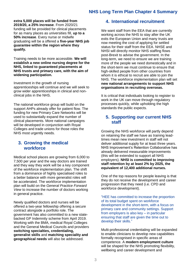#### **NHS Long Term Plan Chapter 4 Summary**

**extra 5,000 places will be funded from** 

**2019/20, a 25% increase**. From 2020/21 funding will be provided for clinical placements for as many places as universities fill, **up to a 50% increase**. Every nurse or midwife graduating will be a offered a **five-year NHS job guarantee within the region where they qualify.**

Training needs to be more accessible. **We will establish a new online nursing degree for the NHS, linked to guaranteed placements at NHS trusts and primary care, with the aim of widening participation.** 

Investment in the growth of nursing apprenticeships will continue and we will seek to grow wider apprenticeships in clinical and nonclinical jobs in the NHS.

The national workforce group will build on the support AHPs already offer for patient flow. The funding for new Primary Care Networks will be used to substantially expand the number of clinical placements. More national campaigns will be developed in conjunction with Royal Colleges and trade unions for those roles the NHS most urgently needs.

#### **3. Growing the medical workforce**

Medical school places are growing from 6,000 to 7,500 per year and the way doctors are trained and they way they work will be a key component of the workforce implementation plan. The shift from a dominance of highly specialised roles to a better balance with more generalist roles will be accelerated. The workforce implementation plan will build on the *General Practice Forward View* to increase the number of doctors working in general practice.

Newly qualified doctors and nurses will be offered a two-year fellowship offering a secure contract alongside a portfolio role. The government has also committed to a new statebacked GP Indemnity scheme from April 2019. Working with the BMA, medical Royal Colleges and the General Medical Councils and providers **switching specialties, credentialing, generalist skills** and **matching speciality and geographical needs** will also be addressed.

#### **4. International recruitment**

We want staff from the EEA that are currently working across the NHS to stay after the UK exits the European Union and many trusts are now meeting the cost of applying for settled status for their staff from the EEA. NHSE and NHSI will directly monitor NHS staffing flows post-Brexit to advise the government. In the long-term, we need to ensure we are training more of the people we need domestically and in the short-term we must continue to ensure that high-skilled people from other countries from whom it is ethical to recruit are able to join the NHS. The workforce implementation plan will set **new national arrangements to support NHS organisations in recruiting overseas.** 

It is critical that individuals looking to register to work in the UK can move through regulatory processes quickly, while upholding the high standards the public expects.

#### **5. Supporting our current NHS staff**

Growing the NHS workforce will partly depend on retaining the staff we have as training leadtimes mean new investment in staff will not deliver additional supply for at least three years. NHS Improvement's Retention Collaborative has already delivered measurable improvements (this will be extended to support all NHS employers). **NHSI is committed to improving staff retention by at least 2% by 2025, the equivalent of 12,400 additional nurses.**

One of the top reasons for people leaving is that they do not receive the development and career progression that they need (i.e. CPD and workforce development).

"HEE has committed to increase the proportion of its total budget spent on workforce development in the short-term, with a focus on primary care and community settings. Support from employers is also key – in particular ensuring that staff are given the time out to develop their skills."

Multi-professional credentialing will be expanded to enable clinicians to develop new capabilities formally recognised in specific areas of competence. A **modern employment culture**  will be shaped for the NHS promoting flexibility, wellbeing and career development and